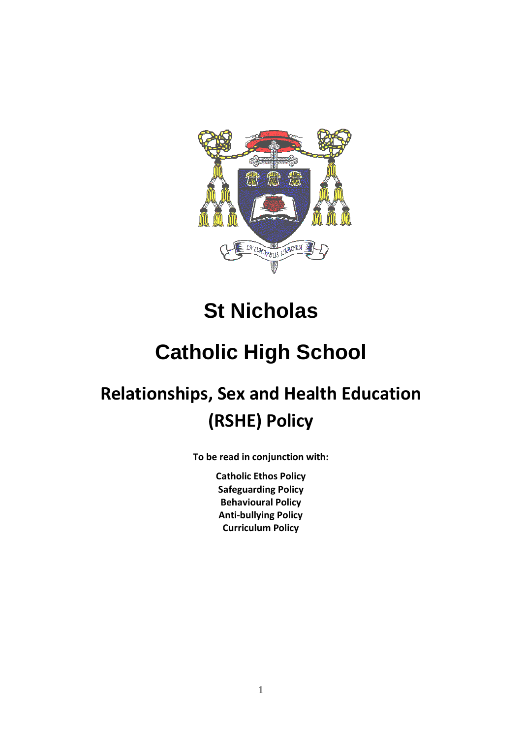

# **St Nicholas**

# **Catholic High School**

# **Relationships, Sex and Health Education (RSHE) Policy**

**To be read in conjunction with:**

**Catholic Ethos Policy Safeguarding Policy Behavioural Policy Anti-bullying Policy Curriculum Policy**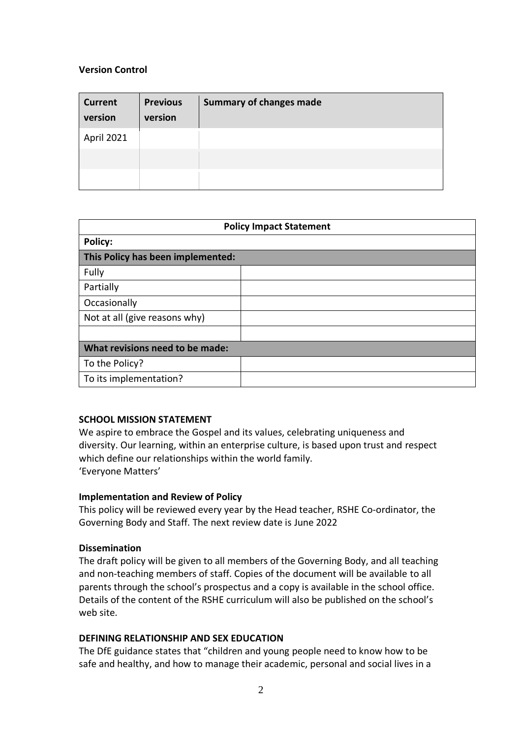# **Version Control**

| <b>Current</b><br>version | <b>Previous</b><br>version | <b>Summary of changes made</b> |
|---------------------------|----------------------------|--------------------------------|
| April 2021                |                            |                                |
|                           |                            |                                |
|                           |                            |                                |

| <b>Policy Impact Statement</b>    |  |
|-----------------------------------|--|
| <b>Policy:</b>                    |  |
| This Policy has been implemented: |  |
| Fully                             |  |
| Partially                         |  |
| Occasionally                      |  |
| Not at all (give reasons why)     |  |
|                                   |  |
| What revisions need to be made:   |  |
| To the Policy?                    |  |
| To its implementation?            |  |

#### **SCHOOL MISSION STATEMENT**

We aspire to embrace the Gospel and its values, celebrating uniqueness and diversity. Our learning, within an enterprise culture, is based upon trust and respect which define our relationships within the world family. 'Everyone Matters'

#### **Implementation and Review of Policy**

This policy will be reviewed every year by the Head teacher, RSHE Co-ordinator, the Governing Body and Staff. The next review date is June 2022

#### **Dissemination**

The draft policy will be given to all members of the Governing Body, and all teaching and non-teaching members of staff. Copies of the document will be available to all parents through the school's prospectus and a copy is available in the school office. Details of the content of the RSHE curriculum will also be published on the school's web site.

#### **DEFINING RELATIONSHIP AND SEX EDUCATION**

The DfE guidance states that "children and young people need to know how to be safe and healthy, and how to manage their academic, personal and social lives in a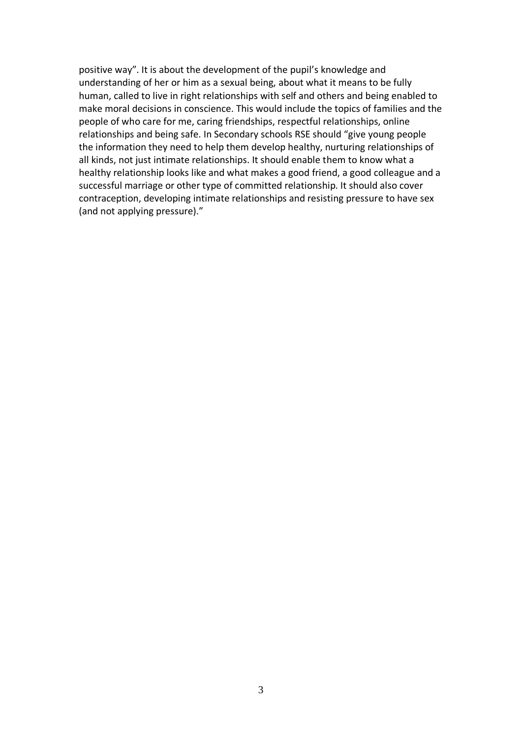positive way". It is about the development of the pupil's knowledge and understanding of her or him as a sexual being, about what it means to be fully human, called to live in right relationships with self and others and being enabled to make moral decisions in conscience. This would include the topics of families and the people of who care for me, caring friendships, respectful relationships, online relationships and being safe. In Secondary schools RSE should "give young people the information they need to help them develop healthy, nurturing relationships of all kinds, not just intimate relationships. It should enable them to know what a healthy relationship looks like and what makes a good friend, a good colleague and a successful marriage or other type of committed relationship. It should also cover contraception, developing intimate relationships and resisting pressure to have sex (and not applying pressure)."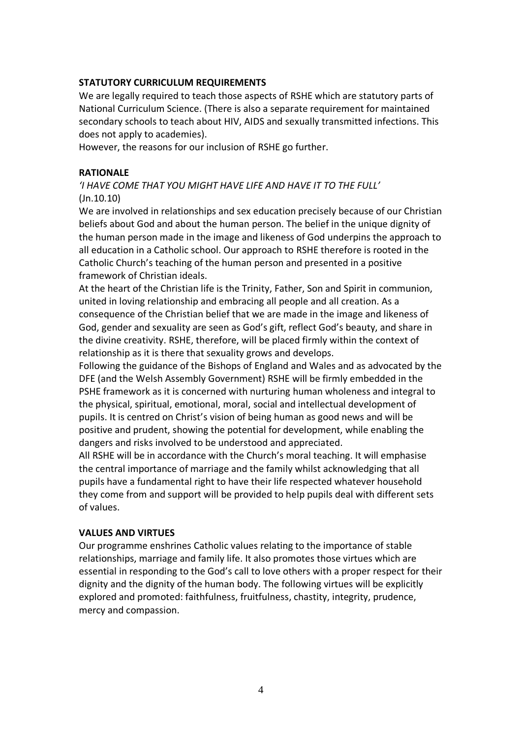#### **STATUTORY CURRICULUM REQUIREMENTS**

We are legally required to teach those aspects of RSHE which are statutory parts of National Curriculum Science. (There is also a separate requirement for maintained secondary schools to teach about HIV, AIDS and sexually transmitted infections. This does not apply to academies).

However, the reasons for our inclusion of RSHE go further.

# **RATIONALE**

# *'I HAVE COME THAT YOU MIGHT HAVE LIFE AND HAVE IT TO THE FULL'*  (Jn.10.10)

We are involved in relationships and sex education precisely because of our Christian beliefs about God and about the human person. The belief in the unique dignity of the human person made in the image and likeness of God underpins the approach to all education in a Catholic school. Our approach to RSHE therefore is rooted in the Catholic Church's teaching of the human person and presented in a positive framework of Christian ideals.

At the heart of the Christian life is the Trinity, Father, Son and Spirit in communion, united in loving relationship and embracing all people and all creation. As a consequence of the Christian belief that we are made in the image and likeness of God, gender and sexuality are seen as God's gift, reflect God's beauty, and share in the divine creativity. RSHE, therefore, will be placed firmly within the context of relationship as it is there that sexuality grows and develops.

Following the guidance of the Bishops of England and Wales and as advocated by the DFE (and the Welsh Assembly Government) RSHE will be firmly embedded in the PSHE framework as it is concerned with nurturing human wholeness and integral to the physical, spiritual, emotional, moral, social and intellectual development of pupils. It is centred on Christ's vision of being human as good news and will be positive and prudent, showing the potential for development, while enabling the dangers and risks involved to be understood and appreciated.

All RSHE will be in accordance with the Church's moral teaching. It will emphasise the central importance of marriage and the family whilst acknowledging that all pupils have a fundamental right to have their life respected whatever household they come from and support will be provided to help pupils deal with different sets of values.

#### **VALUES AND VIRTUES**

Our programme enshrines Catholic values relating to the importance of stable relationships, marriage and family life. It also promotes those virtues which are essential in responding to the God's call to love others with a proper respect for their dignity and the dignity of the human body. The following virtues will be explicitly explored and promoted: faithfulness, fruitfulness, chastity, integrity, prudence, mercy and compassion.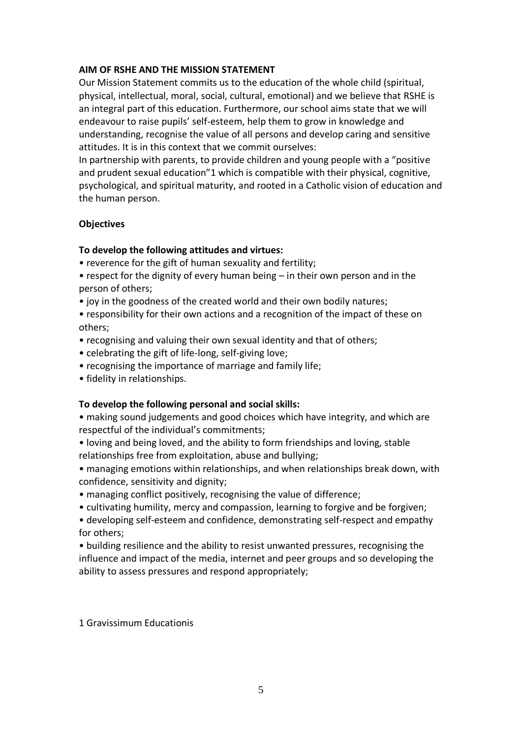#### **AIM OF RSHE AND THE MISSION STATEMENT**

Our Mission Statement commits us to the education of the whole child (spiritual, physical, intellectual, moral, social, cultural, emotional) and we believe that RSHE is an integral part of this education. Furthermore, our school aims state that we will endeavour to raise pupils' self-esteem, help them to grow in knowledge and understanding, recognise the value of all persons and develop caring and sensitive attitudes. It is in this context that we commit ourselves:

In partnership with parents, to provide children and young people with a "positive and prudent sexual education"1 which is compatible with their physical, cognitive, psychological, and spiritual maturity, and rooted in a Catholic vision of education and the human person.

# **Objectives**

# **To develop the following attitudes and virtues:**

- reverence for the gift of human sexuality and fertility;
- respect for the dignity of every human being in their own person and in the person of others;
- joy in the goodness of the created world and their own bodily natures;
- responsibility for their own actions and a recognition of the impact of these on others;
- recognising and valuing their own sexual identity and that of others;
- celebrating the gift of life-long, self-giving love;
- recognising the importance of marriage and family life;
- fidelity in relationships.

#### **To develop the following personal and social skills:**

- making sound judgements and good choices which have integrity, and which are respectful of the individual's commitments;
- loving and being loved, and the ability to form friendships and loving, stable relationships free from exploitation, abuse and bullying;

• managing emotions within relationships, and when relationships break down, with confidence, sensitivity and dignity;

- managing conflict positively, recognising the value of difference;
- cultivating humility, mercy and compassion, learning to forgive and be forgiven;
- developing self-esteem and confidence, demonstrating self-respect and empathy for others;

• building resilience and the ability to resist unwanted pressures, recognising the influence and impact of the media, internet and peer groups and so developing the ability to assess pressures and respond appropriately;

1 Gravissimum Educationis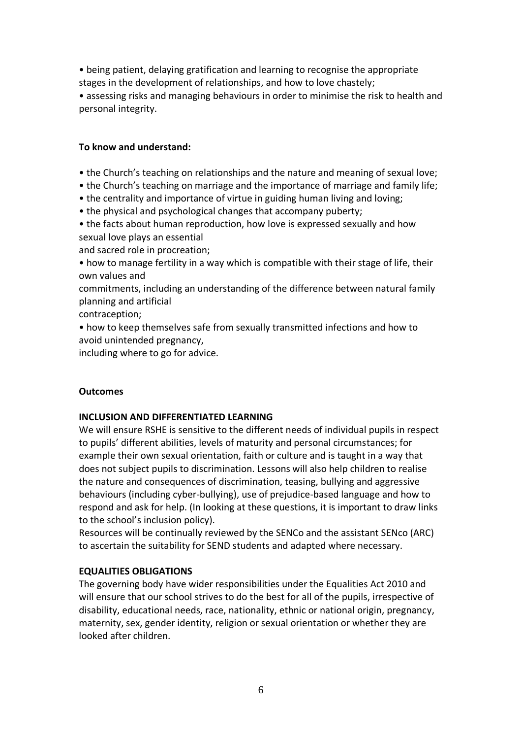• being patient, delaying gratification and learning to recognise the appropriate stages in the development of relationships, and how to love chastely;

• assessing risks and managing behaviours in order to minimise the risk to health and personal integrity.

# **To know and understand:**

- the Church's teaching on relationships and the nature and meaning of sexual love;
- the Church's teaching on marriage and the importance of marriage and family life;
- the centrality and importance of virtue in guiding human living and loving;
- the physical and psychological changes that accompany puberty;
- the facts about human reproduction, how love is expressed sexually and how sexual love plays an essential

and sacred role in procreation;

• how to manage fertility in a way which is compatible with their stage of life, their own values and

commitments, including an understanding of the difference between natural family planning and artificial

contraception;

• how to keep themselves safe from sexually transmitted infections and how to avoid unintended pregnancy,

including where to go for advice.

# **Outcomes**

# **INCLUSION AND DIFFERENTIATED LEARNING**

We will ensure RSHE is sensitive to the different needs of individual pupils in respect to pupils' different abilities, levels of maturity and personal circumstances; for example their own sexual orientation, faith or culture and is taught in a way that does not subject pupils to discrimination. Lessons will also help children to realise the nature and consequences of discrimination, teasing, bullying and aggressive behaviours (including cyber-bullying), use of prejudice-based language and how to respond and ask for help. (In looking at these questions, it is important to draw links to the school's inclusion policy).

Resources will be continually reviewed by the SENCo and the assistant SENco (ARC) to ascertain the suitability for SEND students and adapted where necessary.

# **EQUALITIES OBLIGATIONS**

The governing body have wider responsibilities under the Equalities Act 2010 and will ensure that our school strives to do the best for all of the pupils, irrespective of disability, educational needs, race, nationality, ethnic or national origin, pregnancy, maternity, sex, gender identity, religion or sexual orientation or whether they are looked after children.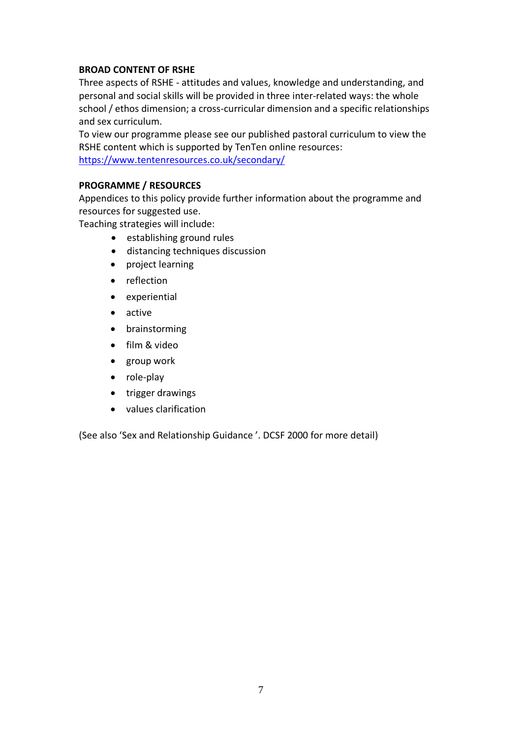# **BROAD CONTENT OF RSHE**

Three aspects of RSHE - attitudes and values, knowledge and understanding, and personal and social skills will be provided in three inter-related ways: the whole school / ethos dimension; a cross-curricular dimension and a specific relationships and sex curriculum.

To view our programme please see our published pastoral curriculum to view the RSHE content which is supported by TenTen online resources: <https://www.tentenresources.co.uk/secondary/>

# **PROGRAMME / RESOURCES**

Appendices to this policy provide further information about the programme and resources for suggested use.

Teaching strategies will include:

- establishing ground rules
- distancing techniques discussion
- project learning
- reflection
- experiential
- active
- brainstorming
- film & video
- group work
- role-play
- trigger drawings
- values clarification

(See also 'Sex and Relationship Guidance '. DCSF 2000 for more detail)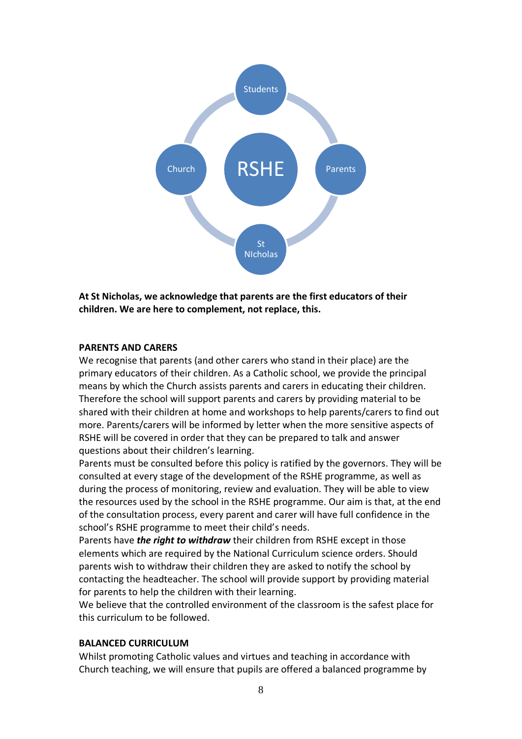

**At St Nicholas, we acknowledge that parents are the first educators of their children. We are here to complement, not replace, this.**

#### **PARENTS AND CARERS**

We recognise that parents (and other carers who stand in their place) are the primary educators of their children. As a Catholic school, we provide the principal means by which the Church assists parents and carers in educating their children. Therefore the school will support parents and carers by providing material to be shared with their children at home and workshops to help parents/carers to find out more. Parents/carers will be informed by letter when the more sensitive aspects of RSHE will be covered in order that they can be prepared to talk and answer questions about their children's learning.

Parents must be consulted before this policy is ratified by the governors. They will be consulted at every stage of the development of the RSHE programme, as well as during the process of monitoring, review and evaluation. They will be able to view the resources used by the school in the RSHE programme. Our aim is that, at the end of the consultation process, every parent and carer will have full confidence in the school's RSHE programme to meet their child's needs.

Parents have *the right to withdraw* their children from RSHE except in those elements which are required by the National Curriculum science orders. Should parents wish to withdraw their children they are asked to notify the school by contacting the headteacher. The school will provide support by providing material for parents to help the children with their learning.

We believe that the controlled environment of the classroom is the safest place for this curriculum to be followed.

#### **BALANCED CURRICULUM**

Whilst promoting Catholic values and virtues and teaching in accordance with Church teaching, we will ensure that pupils are offered a balanced programme by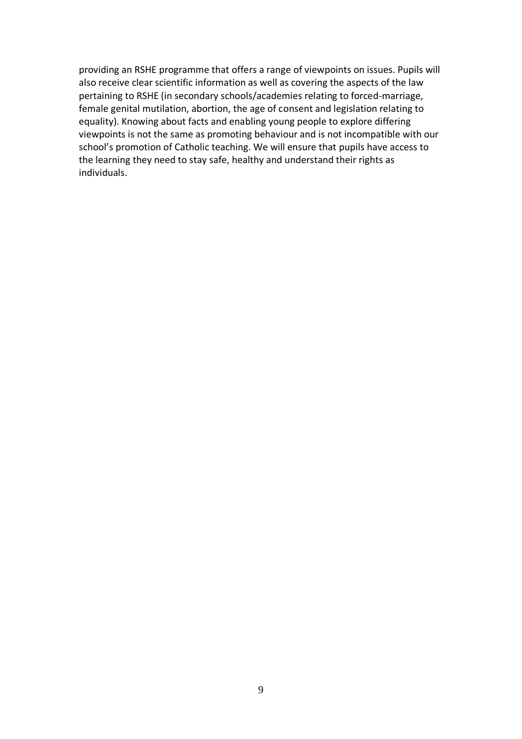providing an RSHE programme that offers a range of viewpoints on issues. Pupils will also receive clear scientific information as well as covering the aspects of the law pertaining to RSHE (in secondary schools/academies relating to forced-marriage, female genital mutilation, abortion, the age of consent and legislation relating to equality). Knowing about facts and enabling young people to explore differing viewpoints is not the same as promoting behaviour and is not incompatible with our school's promotion of Catholic teaching. We will ensure that pupils have access to the learning they need to stay safe, healthy and understand their rights as individuals.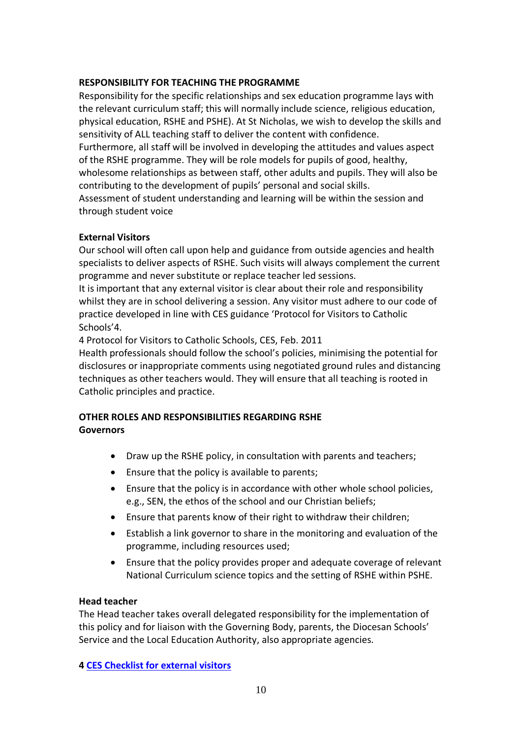#### **RESPONSIBILITY FOR TEACHING THE PROGRAMME**

Responsibility for the specific relationships and sex education programme lays with the relevant curriculum staff; this will normally include science, religious education, physical education, RSHE and PSHE). At St Nicholas, we wish to develop the skills and sensitivity of ALL teaching staff to deliver the content with confidence.

Furthermore, all staff will be involved in developing the attitudes and values aspect of the RSHE programme. They will be role models for pupils of good, healthy, wholesome relationships as between staff, other adults and pupils. They will also be

contributing to the development of pupils' personal and social skills. Assessment of student understanding and learning will be within the session and through student voice

# **External Visitors**

Our school will often call upon help and guidance from outside agencies and health specialists to deliver aspects of RSHE. Such visits will always complement the current programme and never substitute or replace teacher led sessions.

It is important that any external visitor is clear about their role and responsibility whilst they are in school delivering a session. Any visitor must adhere to our code of practice developed in line with CES guidance 'Protocol for Visitors to Catholic Schools'4.

4 Protocol for Visitors to Catholic Schools, CES, Feb. 2011

Health professionals should follow the school's policies, minimising the potential for disclosures or inappropriate comments using negotiated ground rules and distancing techniques as other teachers would. They will ensure that all teaching is rooted in Catholic principles and practice.

# **OTHER ROLES AND RESPONSIBILITIES REGARDING RSHE Governors**

- Draw up the RSHE policy, in consultation with parents and teachers;
- Ensure that the policy is available to parents;
- Ensure that the policy is in accordance with other whole school policies, e.g., SEN, the ethos of the school and our Christian beliefs;
- Ensure that parents know of their right to withdraw their children;
- Establish a link governor to share in the monitoring and evaluation of the programme, including resources used;
- Ensure that the policy provides proper and adequate coverage of relevant National Curriculum science topics and the setting of RSHE within PSHE.

# **Head teacher**

The Head teacher takes overall delegated responsibility for the implementation of this policy and for liaison with the Governing Body, parents, the Diocesan Schools' Service and the Local Education Authority, also appropriate agencies.

# **4 [CES Checklist for external visitors](https://www.catholiceducation.org.uk/guidance-for-schools/governance/item/1003587-checklist-for-external-speakers-to-schools)**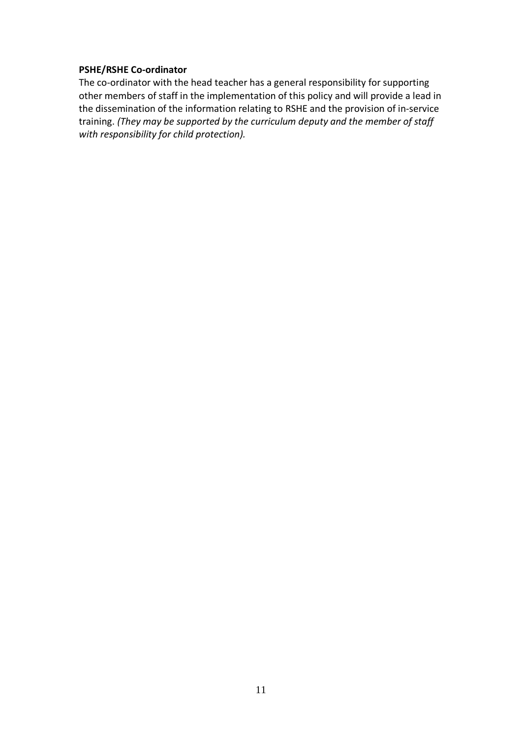#### **PSHE/RSHE Co-ordinator**

The co-ordinator with the head teacher has a general responsibility for supporting other members of staff in the implementation of this policy and will provide a lead in the dissemination of the information relating to RSHE and the provision of in-service training. *(They may be supported by the curriculum deputy and the member of staff with responsibility for child protection).*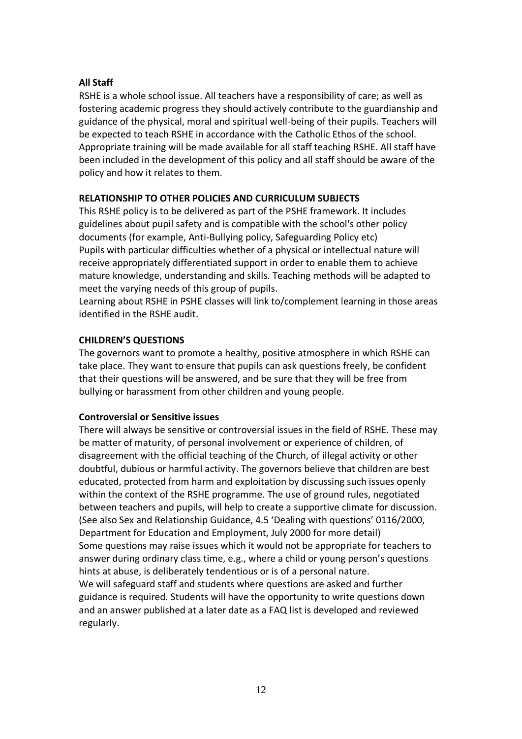# **All Staff**

RSHE is a whole school issue. All teachers have a responsibility of care; as well as fostering academic progress they should actively contribute to the guardianship and guidance of the physical, moral and spiritual well-being of their pupils. Teachers will be expected to teach RSHE in accordance with the Catholic Ethos of the school. Appropriate training will be made available for all staff teaching RSHE. All staff have been included in the development of this policy and all staff should be aware of the policy and how it relates to them.

# **RELATIONSHIP TO OTHER POLICIES AND CURRICULUM SUBJECTS**

This RSHE policy is to be delivered as part of the PSHE framework. It includes guidelines about pupil safety and is compatible with the school's other policy documents (for example, Anti-Bullying policy, Safeguarding Policy etc) Pupils with particular difficulties whether of a physical or intellectual nature will receive appropriately differentiated support in order to enable them to achieve mature knowledge, understanding and skills. Teaching methods will be adapted to meet the varying needs of this group of pupils.

Learning about RSHE in PSHE classes will link to/complement learning in those areas identified in the RSHE audit.

# **CHILDREN'S QUESTIONS**

The governors want to promote a healthy, positive atmosphere in which RSHE can take place. They want to ensure that pupils can ask questions freely, be confident that their questions will be answered, and be sure that they will be free from bullying or harassment from other children and young people.

#### **Controversial or Sensitive issues**

There will always be sensitive or controversial issues in the field of RSHE. These may be matter of maturity, of personal involvement or experience of children, of disagreement with the official teaching of the Church, of illegal activity or other doubtful, dubious or harmful activity. The governors believe that children are best educated, protected from harm and exploitation by discussing such issues openly within the context of the RSHE programme. The use of ground rules, negotiated between teachers and pupils, will help to create a supportive climate for discussion. (See also Sex and Relationship Guidance, 4.5 'Dealing with questions' 0116/2000, Department for Education and Employment, July 2000 for more detail) Some questions may raise issues which it would not be appropriate for teachers to answer during ordinary class time, e.g., where a child or young person's questions hints at abuse, is deliberately tendentious or is of a personal nature. We will safeguard staff and students where questions are asked and further guidance is required. Students will have the opportunity to write questions down and an answer published at a later date as a FAQ list is developed and reviewed regularly.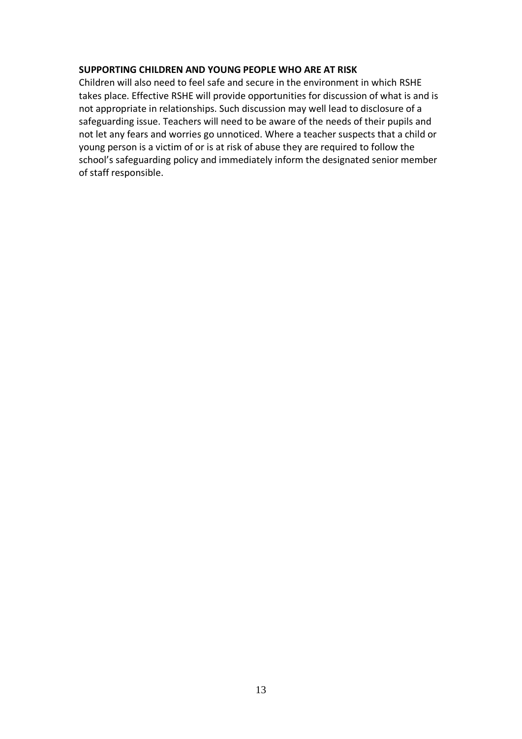#### **SUPPORTING CHILDREN AND YOUNG PEOPLE WHO ARE AT RISK**

Children will also need to feel safe and secure in the environment in which RSHE takes place. Effective RSHE will provide opportunities for discussion of what is and is not appropriate in relationships. Such discussion may well lead to disclosure of a safeguarding issue. Teachers will need to be aware of the needs of their pupils and not let any fears and worries go unnoticed. Where a teacher suspects that a child or young person is a victim of or is at risk of abuse they are required to follow the school's safeguarding policy and immediately inform the designated senior member of staff responsible.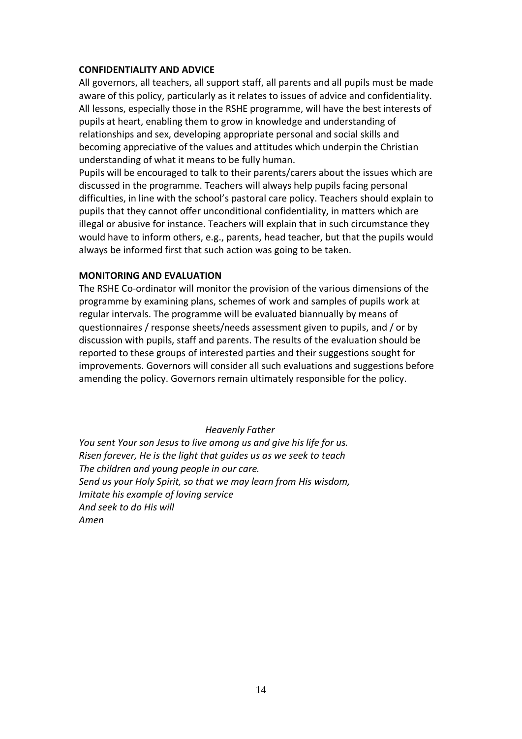#### **CONFIDENTIALITY AND ADVICE**

All governors, all teachers, all support staff, all parents and all pupils must be made aware of this policy, particularly as it relates to issues of advice and confidentiality. All lessons, especially those in the RSHE programme, will have the best interests of pupils at heart, enabling them to grow in knowledge and understanding of relationships and sex, developing appropriate personal and social skills and becoming appreciative of the values and attitudes which underpin the Christian understanding of what it means to be fully human.

Pupils will be encouraged to talk to their parents/carers about the issues which are discussed in the programme. Teachers will always help pupils facing personal difficulties, in line with the school's pastoral care policy. Teachers should explain to pupils that they cannot offer unconditional confidentiality, in matters which are illegal or abusive for instance. Teachers will explain that in such circumstance they would have to inform others, e.g., parents, head teacher, but that the pupils would always be informed first that such action was going to be taken.

#### **MONITORING AND EVALUATION**

The RSHE Co-ordinator will monitor the provision of the various dimensions of the programme by examining plans, schemes of work and samples of pupils work at regular intervals. The programme will be evaluated biannually by means of questionnaires / response sheets/needs assessment given to pupils, and / or by discussion with pupils, staff and parents. The results of the evaluation should be reported to these groups of interested parties and their suggestions sought for improvements. Governors will consider all such evaluations and suggestions before amending the policy. Governors remain ultimately responsible for the policy.

#### *Heavenly Father*

*You sent Your son Jesus to live among us and give his life for us. Risen forever, He is the light that guides us as we seek to teach The children and young people in our care. Send us your Holy Spirit, so that we may learn from His wisdom, Imitate his example of loving service And seek to do His will Amen*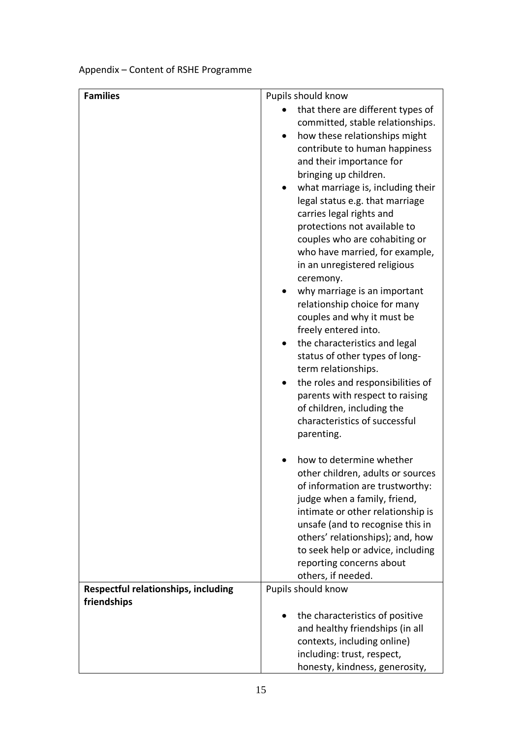# Appendix – Content of RSHE Programme

| <b>Families</b>                            | Pupils should know                                              |
|--------------------------------------------|-----------------------------------------------------------------|
|                                            | that there are different types of                               |
|                                            | committed, stable relationships.                                |
|                                            | how these relationships might                                   |
|                                            | contribute to human happiness                                   |
|                                            | and their importance for                                        |
|                                            | bringing up children.                                           |
|                                            | what marriage is, including their                               |
|                                            | legal status e.g. that marriage                                 |
|                                            | carries legal rights and                                        |
|                                            | protections not available to                                    |
|                                            | couples who are cohabiting or                                   |
|                                            | who have married, for example,                                  |
|                                            | in an unregistered religious                                    |
|                                            | ceremony.<br>why marriage is an important                       |
|                                            | relationship choice for many                                    |
|                                            | couples and why it must be                                      |
|                                            | freely entered into.                                            |
|                                            | the characteristics and legal                                   |
|                                            | status of other types of long-                                  |
|                                            | term relationships.                                             |
|                                            | the roles and responsibilities of                               |
|                                            | parents with respect to raising                                 |
|                                            | of children, including the                                      |
|                                            | characteristics of successful                                   |
|                                            | parenting.                                                      |
|                                            |                                                                 |
|                                            | how to determine whether                                        |
|                                            | other children, adults or sources                               |
|                                            | of information are trustworthy:<br>judge when a family, friend, |
|                                            | intimate or other relationship is                               |
|                                            | unsafe (and to recognise this in                                |
|                                            | others' relationships); and, how                                |
|                                            | to seek help or advice, including                               |
|                                            | reporting concerns about                                        |
|                                            | others, if needed.                                              |
| <b>Respectful relationships, including</b> | Pupils should know                                              |
| friendships                                |                                                                 |
|                                            | the characteristics of positive                                 |
|                                            | and healthy friendships (in all                                 |
|                                            | contexts, including online)                                     |
|                                            | including: trust, respect,                                      |
|                                            | honesty, kindness, generosity,                                  |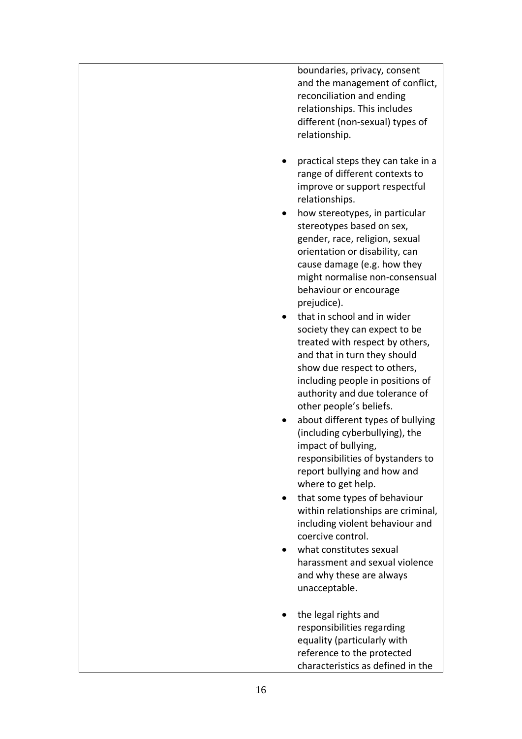| boundaries, privacy, consent<br>and the management of conflict,<br>reconciliation and ending<br>relationships. This includes<br>different (non-sexual) types of<br>relationship.                                                                                |
|-----------------------------------------------------------------------------------------------------------------------------------------------------------------------------------------------------------------------------------------------------------------|
| practical steps they can take in a<br>range of different contexts to<br>improve or support respectful<br>relationships.                                                                                                                                         |
| how stereotypes, in particular<br>stereotypes based on sex,<br>gender, race, religion, sexual<br>orientation or disability, can<br>cause damage (e.g. how they<br>might normalise non-consensual<br>behaviour or encourage<br>prejudice).                       |
| that in school and in wider<br>society they can expect to be<br>treated with respect by others,<br>and that in turn they should<br>show due respect to others,<br>including people in positions of<br>authority and due tolerance of<br>other people's beliefs. |
| about different types of bullying<br>(including cyberbullying), the<br>impact of bullying,<br>responsibilities of bystanders to<br>report bullying and how and                                                                                                  |
| where to get help.<br>that some types of behaviour<br>within relationships are criminal,<br>including violent behaviour and<br>coercive control.                                                                                                                |
| what constitutes sexual<br>harassment and sexual violence<br>and why these are always<br>unacceptable.                                                                                                                                                          |
| the legal rights and<br>responsibilities regarding<br>equality (particularly with<br>reference to the protected<br>characteristics as defined in the                                                                                                            |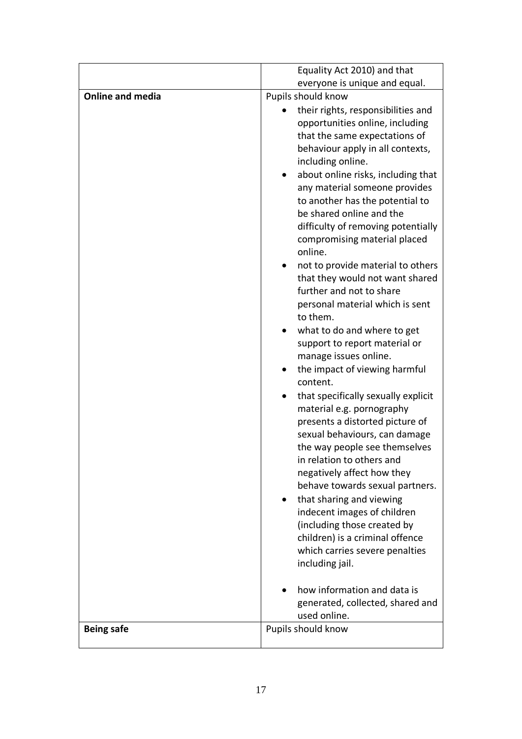|                         | Equality Act 2010) and that                                |
|-------------------------|------------------------------------------------------------|
|                         | everyone is unique and equal.                              |
| <b>Online and media</b> | Pupils should know                                         |
|                         | their rights, responsibilities and                         |
|                         | opportunities online, including                            |
|                         | that the same expectations of                              |
|                         | behaviour apply in all contexts,                           |
|                         | including online.<br>about online risks, including that    |
|                         | any material someone provides                              |
|                         | to another has the potential to                            |
|                         | be shared online and the                                   |
|                         | difficulty of removing potentially                         |
|                         | compromising material placed                               |
|                         | online.                                                    |
|                         | not to provide material to others                          |
|                         | that they would not want shared                            |
|                         | further and not to share                                   |
|                         | personal material which is sent                            |
|                         | to them.                                                   |
|                         | what to do and where to get                                |
|                         | support to report material or<br>manage issues online.     |
|                         | the impact of viewing harmful                              |
|                         | content.                                                   |
|                         | that specifically sexually explicit                        |
|                         | material e.g. pornography                                  |
|                         | presents a distorted picture of                            |
|                         | sexual behaviours, can damage                              |
|                         | the way people see themselves                              |
|                         | in relation to others and                                  |
|                         | negatively affect how they                                 |
|                         | behave towards sexual partners.                            |
|                         | that sharing and viewing                                   |
|                         | indecent images of children<br>(including those created by |
|                         | children) is a criminal offence                            |
|                         | which carries severe penalties                             |
|                         | including jail.                                            |
|                         |                                                            |
|                         | how information and data is                                |
|                         | generated, collected, shared and                           |
|                         | used online.                                               |
| <b>Being safe</b>       | Pupils should know                                         |
|                         |                                                            |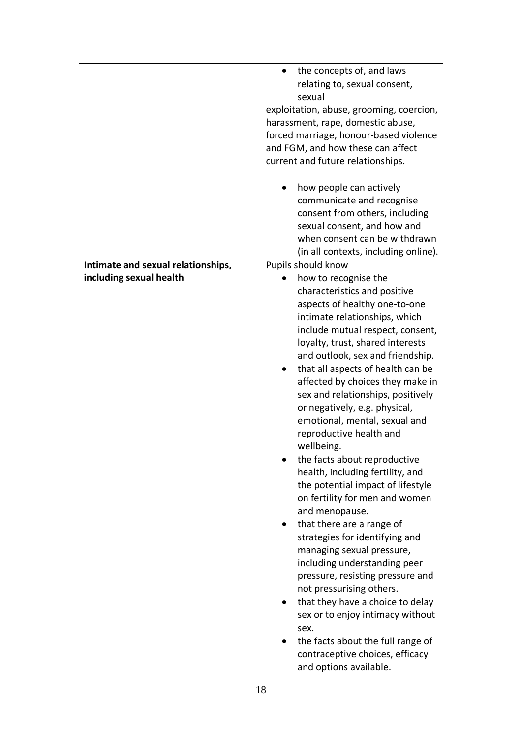| communicate and recognise<br>consent from others, including                                                                                                                                                                                                                                                                                                                                                                                                                                                                                                                                                                                                                                                                                                                                                                                                                                                                                                                  |
|------------------------------------------------------------------------------------------------------------------------------------------------------------------------------------------------------------------------------------------------------------------------------------------------------------------------------------------------------------------------------------------------------------------------------------------------------------------------------------------------------------------------------------------------------------------------------------------------------------------------------------------------------------------------------------------------------------------------------------------------------------------------------------------------------------------------------------------------------------------------------------------------------------------------------------------------------------------------------|
|                                                                                                                                                                                                                                                                                                                                                                                                                                                                                                                                                                                                                                                                                                                                                                                                                                                                                                                                                                              |
| sexual consent, and how and<br>when consent can be withdrawn                                                                                                                                                                                                                                                                                                                                                                                                                                                                                                                                                                                                                                                                                                                                                                                                                                                                                                                 |
| (in all contexts, including online).<br>Pupils should know                                                                                                                                                                                                                                                                                                                                                                                                                                                                                                                                                                                                                                                                                                                                                                                                                                                                                                                   |
| how to recognise the<br>characteristics and positive<br>aspects of healthy one-to-one<br>intimate relationships, which<br>include mutual respect, consent,<br>loyalty, trust, shared interests<br>and outlook, sex and friendship.<br>that all aspects of health can be<br>affected by choices they make in<br>sex and relationships, positively<br>or negatively, e.g. physical,<br>emotional, mental, sexual and<br>reproductive health and<br>wellbeing.<br>the facts about reproductive<br>health, including fertility, and<br>the potential impact of lifestyle<br>on fertility for men and women<br>and menopause.<br>that there are a range of<br>strategies for identifying and<br>managing sexual pressure,<br>including understanding peer<br>pressure, resisting pressure and<br>not pressurising others.<br>that they have a choice to delay<br>sex or to enjoy intimacy without<br>sex.<br>the facts about the full range of<br>contraceptive choices, efficacy |
|                                                                                                                                                                                                                                                                                                                                                                                                                                                                                                                                                                                                                                                                                                                                                                                                                                                                                                                                                                              |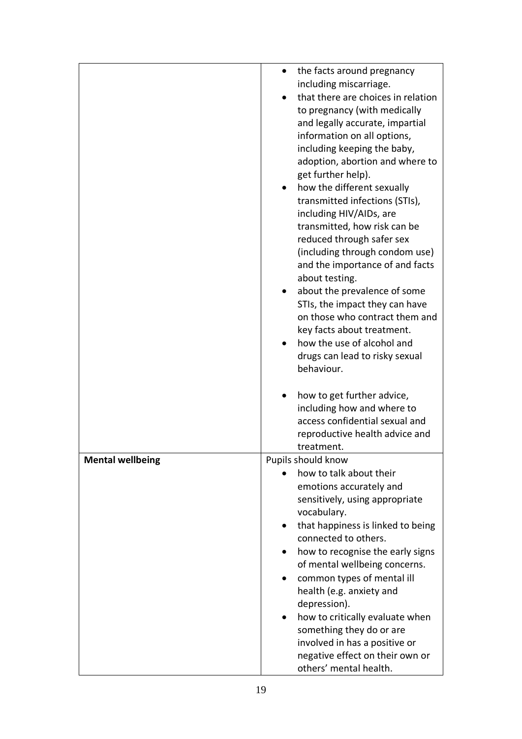|                         | the facts around pregnancy         |
|-------------------------|------------------------------------|
|                         | including miscarriage.             |
|                         | that there are choices in relation |
|                         | to pregnancy (with medically       |
|                         | and legally accurate, impartial    |
|                         | information on all options,        |
|                         | including keeping the baby,        |
|                         | adoption, abortion and where to    |
|                         | get further help).                 |
|                         | how the different sexually         |
|                         | transmitted infections (STIs),     |
|                         |                                    |
|                         | including HIV/AIDs, are            |
|                         | transmitted, how risk can be       |
|                         | reduced through safer sex          |
|                         | (including through condom use)     |
|                         | and the importance of and facts    |
|                         | about testing.                     |
|                         | about the prevalence of some       |
|                         | STIs, the impact they can have     |
|                         | on those who contract them and     |
|                         | key facts about treatment.         |
|                         | how the use of alcohol and         |
|                         | drugs can lead to risky sexual     |
|                         | behaviour.                         |
|                         |                                    |
|                         | how to get further advice,         |
|                         | including how and where to         |
|                         | access confidential sexual and     |
|                         | reproductive health advice and     |
|                         | treatment.                         |
| <b>Mental wellbeing</b> | Pupils should know                 |
|                         | how to talk about their            |
|                         | emotions accurately and            |
|                         | sensitively, using appropriate     |
|                         |                                    |
|                         | vocabulary.                        |
|                         | that happiness is linked to being  |
|                         | connected to others.               |
|                         | how to recognise the early signs   |
|                         | of mental wellbeing concerns.      |
|                         | common types of mental ill         |
|                         | health (e.g. anxiety and           |
|                         | depression).                       |
|                         | how to critically evaluate when    |
|                         | something they do or are           |
|                         | involved in has a positive or      |
|                         | negative effect on their own or    |
|                         | others' mental health.             |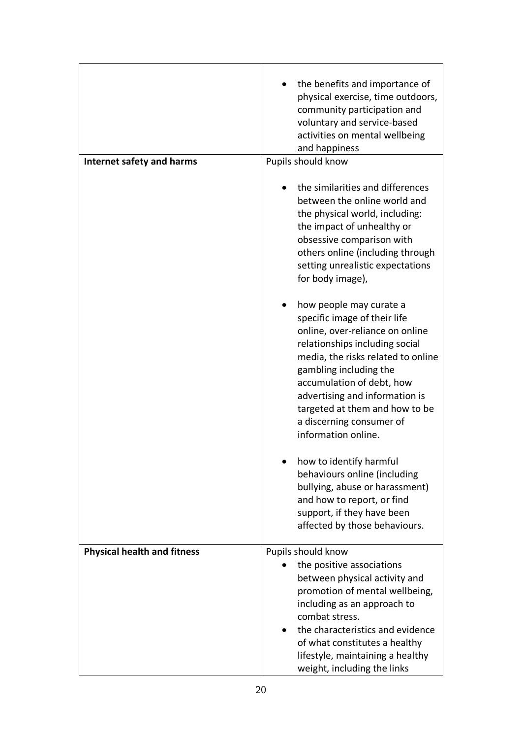|                                    | the benefits and importance of<br>physical exercise, time outdoors,<br>community participation and<br>voluntary and service-based<br>activities on mental wellbeing<br>and happiness                                                                                                                                                             |
|------------------------------------|--------------------------------------------------------------------------------------------------------------------------------------------------------------------------------------------------------------------------------------------------------------------------------------------------------------------------------------------------|
| Internet safety and harms          | Pupils should know                                                                                                                                                                                                                                                                                                                               |
|                                    | the similarities and differences<br>between the online world and<br>the physical world, including:<br>the impact of unhealthy or<br>obsessive comparison with<br>others online (including through<br>setting unrealistic expectations<br>for body image),                                                                                        |
|                                    | how people may curate a<br>specific image of their life<br>online, over-reliance on online<br>relationships including social<br>media, the risks related to online<br>gambling including the<br>accumulation of debt, how<br>advertising and information is<br>targeted at them and how to be<br>a discerning consumer of<br>information online. |
|                                    | how to identify harmful<br>behaviours online (including<br>bullying, abuse or harassment)<br>and how to report, or find<br>support, if they have been<br>affected by those behaviours.                                                                                                                                                           |
| <b>Physical health and fitness</b> | Pupils should know<br>the positive associations<br>between physical activity and<br>promotion of mental wellbeing,<br>including as an approach to<br>combat stress.<br>the characteristics and evidence<br>of what constitutes a healthy<br>lifestyle, maintaining a healthy<br>weight, including the links                                      |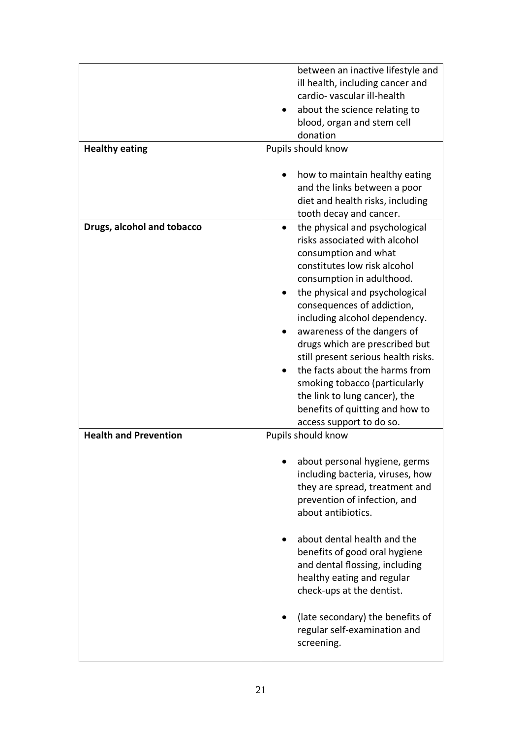| <b>Healthy eating</b>        | between an inactive lifestyle and<br>ill health, including cancer and<br>cardio-vascular ill-health<br>about the science relating to<br>blood, organ and stem cell<br>donation<br>Pupils should know<br>how to maintain healthy eating<br>and the links between a poor<br>diet and health risks, including<br>tooth decay and cancer.                                                                                                                                                                                                         |
|------------------------------|-----------------------------------------------------------------------------------------------------------------------------------------------------------------------------------------------------------------------------------------------------------------------------------------------------------------------------------------------------------------------------------------------------------------------------------------------------------------------------------------------------------------------------------------------|
| Drugs, alcohol and tobacco   | the physical and psychological<br>$\bullet$<br>risks associated with alcohol<br>consumption and what<br>constitutes low risk alcohol<br>consumption in adulthood.<br>the physical and psychological<br>consequences of addiction,<br>including alcohol dependency.<br>awareness of the dangers of<br>drugs which are prescribed but<br>still present serious health risks.<br>the facts about the harms from<br>smoking tobacco (particularly<br>the link to lung cancer), the<br>benefits of quitting and how to<br>access support to do so. |
| <b>Health and Prevention</b> | Pupils should know                                                                                                                                                                                                                                                                                                                                                                                                                                                                                                                            |
|                              | about personal hygiene, germs<br>including bacteria, viruses, how<br>they are spread, treatment and<br>prevention of infection, and<br>about antibiotics.<br>about dental health and the<br>benefits of good oral hygiene<br>and dental flossing, including<br>healthy eating and regular<br>check-ups at the dentist.                                                                                                                                                                                                                        |
|                              | (late secondary) the benefits of<br>regular self-examination and<br>screening.                                                                                                                                                                                                                                                                                                                                                                                                                                                                |